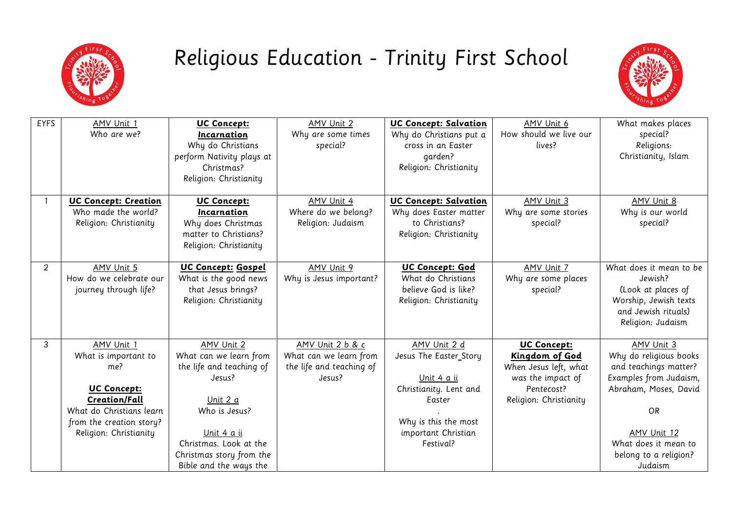

## Religious Education - Trinity First School



| <b>EYFS</b>    | AMV Unit 1                  | <b>UC Concept:</b>        | AMV Unit 2               | UC Concept: Salvation   | AMV Unit 6             | What makes places       |
|----------------|-----------------------------|---------------------------|--------------------------|-------------------------|------------------------|-------------------------|
|                | Who are we?                 | Incarnation               | Why are some times       | Why do Christians put a | How should we live our | special?                |
|                |                             | Why do Christians         | special?                 | cross in an Easter      | lives?                 | Religions:              |
|                |                             | perform Nativity plays at |                          | garden?                 |                        | Christianity, Islam     |
|                |                             | Christmas?                |                          | Religion: Christianity  |                        |                         |
|                |                             | Religion: Christianity    |                          |                         |                        |                         |
|                |                             |                           |                          |                         |                        |                         |
|                | <b>UC Concept: Creation</b> | <b>UC Concept:</b>        | AMV Unit 4               | UC Concept: Salvation   | AMV Unit 3             | AMV Unit 8              |
|                | Who made the world?         | Incarnation               | Where do we belong?      | Why does Easter matter  | Why are some stories   | Why is our world        |
|                | Religion: Christianity      | Why does Christmas        | Religion: Judaism        | to Christians?          | special?               | special?                |
|                |                             | matter to Christians?     |                          | Religion: Christianity  |                        |                         |
|                |                             | Religion: Christianity    |                          |                         |                        |                         |
|                |                             |                           |                          |                         |                        |                         |
| $\overline{2}$ | AMV Unit 5                  | UC Concept: Gospel        | AMV Unit 9               | UC Concept: God         | AMV Unit 7             | What does it mean to be |
|                | How do we celebrate our     | What is the good news     | Why is Jesus important?  | What do Christians      | Why are some places    | Jewish?                 |
|                | journey through life?       | that Jesus brings?        |                          | believe God is like?    | special?               | (Look at places of      |
|                |                             | Religion: Christianity    |                          | Religion: Christianity  |                        | Worship, Jewish texts   |
|                |                             |                           |                          |                         |                        | and Jewish rituals)     |
|                |                             |                           |                          |                         |                        | Religion: Judaism       |
|                |                             |                           |                          |                         |                        |                         |
| 3              | AMV Unit 1                  | AMV Unit 2                | AMV Unit 2 b & c         | AMV Unit 2 d            | <b>UC Concept:</b>     | AMV Unit 3              |
|                | What is important to        | What can we learn from    | What can we learn from   | Jesus The Easter_Story  | Kingdom of God         | Why do religious books  |
|                | me?                         | the life and teaching of  | the life and teaching of |                         | When Jesus left, what  | and teachings matter?   |
|                |                             | Jesus?                    | Jesus?                   | Unit 4 a ii             | was the impact of      | Examples from Judaism,  |
|                | <b>UC Concept:</b>          |                           |                          | Christianity. Lent and  | Pentecost?             | Abraham, Moses, David   |
|                | <b>Creation/Fall</b>        | Unit 2 a                  |                          | Easter                  | Religion: Christianity |                         |
|                | What do Christians learn    | Who is Jesus?             |                          |                         |                        | <b>OR</b>               |
|                | from the creation story?    |                           |                          | Why is this the most    |                        |                         |
|                | Religion: Christianity      | Unit 4 a ii               |                          | important Christian     |                        | AMV Unit 12             |
|                |                             | Christmas. Look at the    |                          | Festival?               |                        | What does it mean to    |
|                |                             | Christmas story from the  |                          |                         |                        | belong to a religion?   |
|                |                             | Bible and the ways the    |                          |                         |                        | Judaism                 |